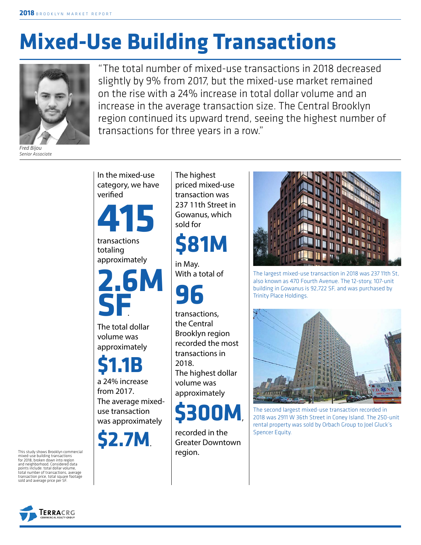# **Mixed-Use Building Transactions**



*Fred Bijou Senior Associate*

"The total number of mixed-use transactions in 2018 decreased slightly by 9% from 2017, but the mixed-use market remained on the rise with a 24% increase in total dollar volume and an increase in the average transaction size. The Central Brooklyn region continued its upward trend, seeing the highest number of transactions for three years in a row."



The highest priced mixed-use transaction was 237 11th Street in Gowanus, which

## **\$81M**

With a total of

transactions, the Central Brooklyn region recorded the most transactions in The highest dollar volume was approximately

**\$300M**,

recorded in the Greater Downtown



The largest mixed-use transaction in 2018 was 237 11th St, also known as 470 Fourth Avenue. The 12-story, 107-unit building in Gowanus is 92,722 SF, and was purchased by Trinity Place Holdings.



The second largest mixed-use transaction recorded in 2018 was 2911 W 36th Street in Coney Island. The 250-unit rental property was sold by Orbach Group to Joel Gluck's Spencer Equity.

This study shows Brooklyn commercial mixed-use building transactions for 2018, broken down into region and neighborhood. Considered data points include: total dollar volume, total number of transactions, average transaction price, total square footage sold and average price per SF

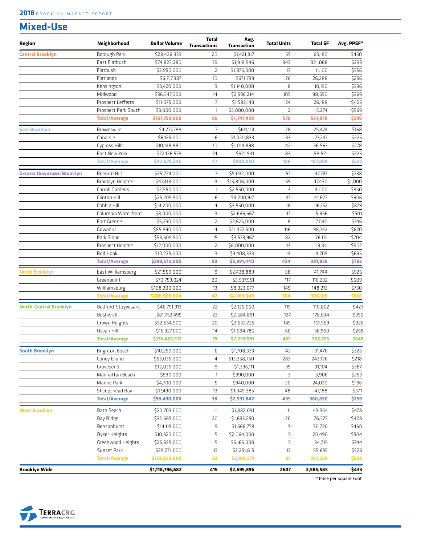### **Mixed-Use**

| Region                           | Neighborhood         | <b>Dollar Volume</b> | <b>Total</b><br><b>Transactions</b> | Avg.<br><b>Transaction</b> | <b>Total Units</b> | <b>Total SF</b> | Avg. PPSF* |
|----------------------------------|----------------------|----------------------|-------------------------------------|----------------------------|--------------------|-----------------|------------|
| <b>Central Brooklyn</b>          | Borough Park         | \$28,426,333         | 20                                  | \$1,421,317                | 55                 | 63,180          | \$450      |
|                                  | East Flatbush        | \$74,823,280         | 39                                  | \$1,918,546                | 343                | 321,068         | \$233      |
|                                  | Flatbush             | \$3,950,000          | $\overline{2}$                      | \$1,975,000                | 13                 | 11,100          | \$356      |
|                                  | Flatlands            | \$6,717,387          | 10                                  | \$671,739                  | 26                 | 26,288          | \$256      |
|                                  | Kensington           | \$3,420,000          | З                                   | \$1,140,000                | 8                  | 10,190          | \$336      |
|                                  | Midwood              | \$36,347,000         | 14                                  | \$2,596,214                | 105                | 98,590          | \$369      |
|                                  | Prospect Lefferts    | \$11,075,000         | $\overline{7}$                      | \$1,582,143                | 24                 | 26,188          | \$423      |
|                                  | Prospect Park South  | \$3,000,000          | $\mathbf{1}$                        | \$3,000,000                | 2                  | 5,274           | \$569      |
|                                  | <b>Total/Average</b> | \$167,759,000        | 96                                  | \$1,747,490                | 576                | 561,878         | \$299      |
| <b>East Brooklyn</b>             | Brownsville          | \$4,277,788          | $\overline{7}$                      | \$611,113                  | 28                 | 25,474          | \$168      |
|                                  | Canarsie             | \$6,125,000          | 6                                   | \$1,020,833                | 33                 | 27,247          | \$225      |
|                                  | Cypress Hills        | \$10,148,980         | 10                                  | \$1,014,898                | 42                 | 36,567          | \$278      |
|                                  | East New York        | \$22,126,578         | 24                                  | \$921,941                  | 83                 | 98,521          | \$225      |
|                                  | <b>Total/Average</b> | \$42,678,346         | 47                                  | \$908,050                  | 186                | 187,809         | \$227      |
| <b>Greater Downtown Brooklyn</b> | Boerum Hill          | \$35,224,000         | 7                                   | \$5,032,000                | 57                 | 47,737          | \$738      |
|                                  | Brooklyn Heights     | \$47,418,000         | 3                                   | \$15,806,000               | 59                 | 47,430          | \$1,000    |
|                                  | Carroll Gardens      | \$2,550,000          | 1                                   | \$2,550,000                | 3                  | 3,000           | \$850      |
|                                  | Clinton Hill         | \$25,205,500         | 6                                   | \$4,200,917                | 47                 | 41,627          | \$606      |
|                                  | Cobble Hill          | \$14,200,000         | 4                                   | \$3,550,000                | 18                 | 16,152          | \$879      |
|                                  | Columbia Waterfront  | \$8,000,000          | 3                                   | \$2,666,667                | 17                 | 15,956          | \$501      |
|                                  | Fort Greene          | \$5,250,000          | $\overline{2}$                      | \$2,625,000                | 8                  | 7,040           | \$746      |
|                                  | Gowanus              | \$85,890,000         | $\overline{4}$                      | \$21,472,500               | 116                | 98,742          | \$870      |
|                                  | Park Slope           | \$53,609,500         | 15                                  | \$3,573,967                | 82                 | 76,131          | \$704      |
|                                  | Prospect Heights     | \$12,000,000         | $\overline{2}$                      | \$6,000,000                | 13                 | 13,311          | \$902      |
|                                  | Red Hook             | \$10,225,000         | 3                                   | \$3,408,333                | 14                 | 14,709          | \$695      |
|                                  | <b>Total/Average</b> | \$299,572,000        | 50                                  | \$5,991,440                | 434                | 381,835         | \$785      |
| <b>North Brooklyn</b>            | East Williamsburg    | \$21,950,000         | 9                                   | \$2,438,889                | 38                 | 41,744          | \$526      |
|                                  | Greenpoint           | \$70,759,024         | 20                                  | \$3,537,951                | 117                | 116,232         | \$609      |
|                                  | Williamsburg         | \$108,200,000        | 13                                  | \$8,323,077                | 149                | 148,213         | \$730      |
|                                  | <b>Total/Average</b> | \$200,909,024        | 42                                  | \$4,783,548                | 304                | 306,189         | \$656      |
| <b>North-Central Brooklyn</b>    | Bedford-Stuyvesant   | \$46,751,313         | 22                                  | \$2,125,060                | 119                | 110,602         | \$423      |
|                                  | Bushwick             | \$61,752,499         | 23                                  | \$2,684,891                | 127                | 176,634         | \$350      |
|                                  | Crown Heights        | \$52,654,500         | 20                                  | \$2,632,725                | 149                | 161,569         | \$326      |
|                                  | Ocean Hill           | \$15,327,000         | 14                                  | \$1,094,786                | 60                 | 56,950          | \$269      |
|                                  | <b>Total/Average</b> | \$176,485,312        | 79                                  | \$2,233,991                | 455                | 505,755         | \$349      |
| <b>South Brooklyn</b>            | Brighton Beach       | \$10,250,000         | 6                                   | \$1,708,333                | 42                 | 31,476          | \$326      |
|                                  | Coney Island         | \$53,035,000         | 4                                   | \$13,258,750               | 283                | 243,126         | \$218      |
|                                  | Gravesend            | \$12,025,000         | 9                                   | \$1,336,111                | 39                 | 31,104          | \$387      |
|                                  | Manhattan Beach      | \$990,000            | $\mathbf{1}$                        | \$990,000                  | З                  | 3,906           | \$253      |
|                                  | Marine Park          | \$4,700,000          | 5                                   | \$940,000                  | 20                 | 24,030          | \$196      |
|                                  | Sheepshead Bay       | \$17,490,000         | 13                                  | \$1,345,385                | 48                 | 47,188          | \$371      |
|                                  | <b>Total/Average</b> | \$98,490,000         | 38                                  | \$2,591,842                | 435                | 380,830         | \$259      |
| West Brooklyn                    | Bath Beach           | \$20,703,000         | 11                                  | \$1,882,091                | 11                 | 43,354          | \$478      |
|                                  | Bay Ridge            | \$32,665,000         | 20                                  | \$1,633,250                | 20                 | 76,375          | \$428      |
|                                  | Bensonhurst          | \$14,119,000         | 9                                   | \$1,568,778                | 9                  | 30,720          | \$460      |
|                                  | Dyker Heights        | \$10,320,000         | 5                                   | \$2,064,000                | 5                  | 20,490          | \$504      |
|                                  | Greenwood Heights    | \$25,825,000         | 5                                   | \$5,165,000                | 5                  | 34,715          | \$744      |
|                                  | Sunset Park          | \$29,271,000         | 13                                  | \$2,251,615                | 13                 | 55,635          | \$526      |
|                                  | <b>Total/Average</b> | \$132,903,000        | 63                                  | \$2,109,571                | 63                 | 261,289         | \$509      |
| <b>Brooklyn Wide</b>             |                      | \$1,118,796,682      | 415                                 | \$2,695,896                | 2647               | 2,585,585       | \$433      |

\* Price per Square Foot